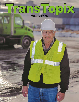# TransTopix Winter 2020

**FURST NE**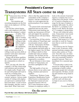## **Transystems All Stars come to stay President's Corner**

Transystems hires All Star employees and keeps them.

 Our retention and recruiting programs are the first steps on an employee's All Star journey.

 Our All Star criteria begins with a safe employee who fully supports the company's culture



of safety. That employee is a man or woman who cares and is willing to help fellow employees, respects the equipment, shows up to

**Scott**

work on time every time, is willing to pick up extra shifts or summer work and is interested in personal growth.

 Along with all those qualities, the All Star respects and values the communities in which we operate.

 How, you may ask, does the company's All Star criteria help with retention and recruiting? It's simple really: People work for and with people and want to work for a winning team.

 In my frequent visits to Transystems' projects, I always make a point of visiting with employees and receive continual feedback from them. I want to know their thoughts, and they want to share them. What I hear most

often is that they appreciate the camaraderie of the company's projects. And the communities where we work appreciate the professionalism of our employees.

 If a person feels welcomed and supported and sees the entire Transystems team backing one another up, that person will feel safe and support the operation. And that person will most likely stay with us.

 I reviewed the All Star articles in this edition of TransTopix and several points struck a chord with me. Transystems All Stars care about the skills development students and hold safety in the highest regard. Our All Stars are willing to pitch in when needed and work on summer projects. Our All Stars are dependable, love their jobs and are respected by coworkers.

 We are fortunate to have many All Stars in Transystems, not just those spotlighted in this issue.

 The high quality of our employees shows in our safety mod rating, retention and turnover numbers.

 Transystems' Workers Comp Experience Modification Factor (Mod Factor) is determined by the National Council of Compensation Insurers (NCCI). NCCI rates businesses on performance in employee safety. It looks at the amount of personal injuries a company has over a rolling four-year period. A factor of 1 is used as a baseline as average for the type of industry a company falls under. So, above the factor 1, a company is not doing as well. Below the factor of 1, a company is doing better.

 We are well within the safety zone. Transystems' most recent Mod Factor came out at .63, which is .37 points under the average. That means it is 37 percent safer to work for Transystems than to work for a similar company.

 The turnover rate for Transystems is only 24 percent, while national trucking company data shows other carriers at 74 percent. Year after year, our retention rate for returning employees who were seasonally termed is around 65 percent. That is extraordinary for a seasonal operation.

 Everyone plays a part in our success by working safely and continuing to build a culture that makes people feel welcome and respected. All Stars, recruiting and retention all go hand in hand.

 Thanks to our entire All Star staff for a job well done and we hope to see you in a future article.

> *Scott Lind, President and COO*

### **On the cover Paul All Star John Weimer. Bill Schulz photo.**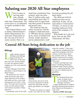# **Saluting our 2020 All Star employees**

When it comes to<br>moving mate-<br>rials, nobody<br>does it better an moving materials, nobody does it better and safer than Transystems. The scores prove it, as indicated in reports included in this issue.

 The Federal Motor Carrier Safety Administration's Safety Measurement Systems puts Transystems at the very top of its list of motor carriers.That is no

small feat considering Transystems' units run more than 33 million miles each year hauling more than 22 million tons of sugar beets and other goods to factories and project sites.

 The credit for that top safety record lies with the company's dedicated team of 900-plus drivers, backed up by scores of skilled technicians, loader operators and an administrative staff

focused on getting the job done safely.

 The effort put forth by employees does not go unnoticed. In this, our annual salute to Transystems' All Stars, we focus on outstanding employees from each of the company's 14 projects.

 With thanks for a job well done, here are the 2020 Transystems All Stars.

## **Central All Stars bring dedication to the job**

### **Billings**

Coader operator Jeremy<br>Welling is the Billings<br>Project All Star for<br>2020. New to the com-Welling is the Billings Project All Star for 2020. New to the company this year, Jeremy started as a pile site operator before stepping up to the yard operator position.

 Project Manager Chris Kelly had plenty of good things to say about Jeremy.

 "He picked up a lot of extra shifts and always did a thorough inspection of the loaders and made sure they were clean and greased every shift," Chris said. "He made sure to keep the trucks moving and got along well with the customer's flume operators."

Consistently early for his shift,



#### **Jeremy**

when Jeremy arrived at work, he always checked in with the supervisor and made sure his grease gun battery was charged up.

 "Jeremy was always in a good mood, even when he was a little

under the weather," Chris said.

 Having just completed his first sugar beet campaign with Transystems, Jeremy hasn't done any summer work yet. "But he said he would travel if a loader operator was needed elsewhere," Chris said.

 A hunter and fisherman who enjoys wandering Montana's mountain roads, Jeremy claims to live "a pretty boring life" with his wife, five children and five grandkids.

### **Worland**

The Worland Project has a pair of stellar workers, according to Project Manager Joe Kunz.

 Loader operator/driver Andrew Getzfreid and professional driver Gary Parsons are both gems to work with.

**See ALL STARS, Next page**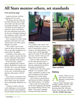# **All Stars mentor others, set standards**

### **From previous page**

 Andrew has been with the company for two years.

 "He always arrives early for his shift and stays late if needed to make sure the next shift is running smoothly," Joe said. "He picks up extra shifts on a moment's notice and follows the exact directions given him for his job, including sticking to the company's safety rules and policies to the full extent."

 He is a mentor for other loader operators and trains new ones. And he does it all with a great attitude, Joe noted.

 "He's ready to go to work when he shows up and always tries to get other employees in a good mood," he added.

 A member of the safety committee, Andrew ensures that others are following Transystems' safety standards at the project.

 In his free time, Andrew enjoys spending time with his fiancée, Katherine Coguill, and his kids. He's a go-cart enthusiast and enjoys camping, working on his cars, woodworking and playing video games with his kids.

 Gary Parsons joined the Transystems team as a professional driver three years ago and has been setting high standards ever since.

 "It doesn't matter what the work challenge is, Gary always takes it head on and completes his job despite inclement weath-



### **Andrew Gary**

er or trouble with a truck. He's willing to help out at every turn and is a team player when it comes to solving problems," Joe noted. Gary can be depended upon to be early for his shift and stay late. And he's always willing to take on an extra shift.

 "Gary is really a great mentor for the other drivers and is a trainer, too. He helps other employees understand and follow procedures and policies."

 And he does it all with a great attitude. As a member of the safety committee, he plays a big part in making sure the entire Worland crew works safely.

 "Gary always is going above and beyond to follow standards and safety policies," Joe added.

 Gary works for Transystems on the beet campaign and spends the summer RVing with his wife, Marie. They enjoy camping, fishing and doing yardwork.





**Ryan and Brian**

### **Sidney**

Il Stars. Where do you<br>start when it comes to<br>defining a Transystems<br>All Star? start when it comes to defining a Transystems All Star?

 Sidney Project Manager John Hoadley had the answers: "Dependability, experience and knowing their job. All those things come into play. But what **See ALL STARS, Next page**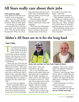# **All Stars really care about their jobs**

#### **From previous page**

really defines an All Star to me is what's in his or her heart."

 John chose two All Stars from Sidney – Ryan Stauffer and Brian Jarrell. What set them apart?

 "An All Star is an individual who cares about his or her job. I mean really cares. Ryan and Brian do. They are always asking the question, 'What can I do to

make this better, and how can I help?' They understand doing a good job makes everyone's job better," John said.

 They braved the cold, mud, rain and everything Mother Nature could throw at them this campaign.

 "Then they were bombarded by management (me) and the drivers coming to them with nonstop issues on the havoc

the weather was doing to the trucks," John said.

They just smiled and dug in.

 "They grabbed wrenches, testers, brake cans, clutches and tire after tire," John said. "When you heard them say, 'Okay, finished,' every driver knew he would be good and safe out on the roads."

 "Ryan and Brian, thanks, guys, from all of us at Transystems," John concluded.

**Idaho's All Stars are in it for the long haul**

### **Twin Falls**

Wo professional drivers<br>
were chosen as All Stars<br>
at the Twin Falls Project<br>
Denis Taylor, a 19-year were chosen as All Stars at the Twin Falls Project. Denis Taylor, a 19-year Transystems veteran, and Don Hansen, who has been with the company for eight years, were selected by Project Manager Tyler Wetherelt.

 "Denis was one of the first employees hired by Transystems in Idaho back in 2001," Tyler said. "Working as a supervisor, driver and skills mentor, Denis always goes above and beyond what is asked of him, especially when it comes to mentoring new students and helping them to continue to develop once they obtain their CDL."

He cares about his students.

 "Denis continually follows up with me, checking on the progress of the students he has mentored and reviewing concerns he may have from our periodic



**Denis, left, and Don are Twin Falls Project All Stars.**

check rides," Tyler said. And safety is his goal.

 "He is very thorough when filling out his safety audits and takes great care in explaining why he thinks something is a safety concern and what needs to be done to correct it," Tyler said. He has been active on the safety committee during his decades with the company.

When summer work rolls around, Denis is often on it.

 "He has been on many summer jobs since he came to the

company," Tyler said, "And he enjoys the different challenges each new job brings."

 When he's not working, Denis likes to travel, visiting kids and grandkids (so he can teach them to drive). He enjoys driving his father back to Michigan to visit his siblings.

 And his memories of Transystems go way back.

 "The first Transystems job Denis can remember was a paving **See ALL STARS, Next page**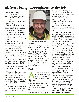# **All Stars bring thoroughness to the job**

#### **From previous page**

job down near Salt Lake City when the city was preparing for the 2001 Winter Olympics," Tyler noted.

 Don Hansen is another Twin Falls standout.

 "Don is a valued employee who has gone out of his way to help the company in various ways during his time with us," Tyler said. "He not only works through the beet campaign, he goes out on summer jobs or wherever else the company may need him."

 Case in point: Don recently returned from a stint in Sidney where he stepped in to help with the sugar beet campaign when extra drivers were needed.

 A great mentor, Don does an excellent job of showing others the many safety and daily operational aspects of the job, Tyler noted.

 He has been part of the safety committee meetings in the past and always provides valuable input.

 One of his best attributes is the thoroughness he brings to the job.

 "Don is very thorough when it comes to inspecting his equipment," Tyler said. "He knows that a well-maintained truck is a safe truck and will keep you productive throughout your shift."

 He is dependable and loves his job.

 "Don doesn't miss many days of work. If he does, you know it's for a good reason. I think Don would write his own medi-



**Paul Project All Star John Weimer**

cal release just to get back in the driver seat sooner," Tyler joked.

 Don considers his summer jobs with Transystems "getaways." When he's not on a summer project, Don enjoys traveling. He and his wife, Shirley, made a trip to the east coast last fall and enjoyed it so much they are planning to return to Pennsylvania to catch up on what they missed.

### **Paul**

s long as Transystems<br>has been hauling sugar<br>beets in Idaho, John<br>Weimer has been part has been hauling sugar beets in Idaho, John of the team.

 With four decades of professional driving under his belt, John is not only an icon at the Paul Project, he is also an All Star.

 "John literally sets the standard for longevity and dependability," Project Manager Coral Torix said. "When it comes to hauling sugar beets, John is what you would call an icon."

 One of 12 children born to a farm family in Mini-Cassia, north of Paul, John celebrated his 84th birthday Feb. 1.

 He bought his folks' farm in 1967 and started raising sugar beets while also running a small dairy.

 After farming for 39 years, John was ready for a change. He decided to sell his farm and help neighboring farmers and friends around the valley. John eventually got a full time job driving for a livestock company, hauling sheep to California and back.

 In 1980, John went to work for Circle A Construction, beginning his career hauling sugar beets for Amalgamated Sugar Company. John continued hauling beets every campaign for the next 20 years for Circle A. During the summer months, he pulled a tanker, hauling whey and other commodities to local dairies.

 Then, along came Transystems. In 2001, Transystems came to Idaho and won the bid for the sugar beet haul for Amalgamated Sugar Company.

 "A lot of drivers who had worked for Circle A applied for driving positions for Transystems," Coral said. "Lucky for us, John was one of those guys."

 He hasn't missed a single beet campaign since joining the company.

 "John has driven for Transystems at the Paul Project every **See ALL STARS, Next page**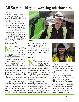# **All Stars build good working relationships**

#### **From previous page**

campaign for the last 20 years, giving him a total of 40 years and an estimated 2 million miles hauling sugar beets to the factory in Paul," Coral noted.

 "To this day, John still works four days on and two off, pulling a full 12-hour shift. He is admired and respected by all his coworkers," Coral noted.

 When he's not at work, he enjoys spending time with his family, including his wife, Yvonne, two children, five grandchildren and 10 great-grandchildren.

### **American Falls**

EXECUTE THE MANUSCRIPT OF STRAIN STRAINS fessional driver and the American Falls Project All Star. He has been with Transystems since 2017 and displayed All Star traits the entire time.

 "Merrill has served as a mentor for Transystems' new drivers," Project Manager Mike Funk said. "He prides himself on developing a good working relationship with the new drivers and guides them through the development process with success. He also works with them on the importance of safety."

 Friendly and personable, Merrill's smile radiates energy.

 "Merrill has integrity, which means keeping promises, doing hard work, and showing diligence and perseverance," Mike said. "All Star employees are always true to themselves and their full potential, which means



**Merrill**

performing excellent work. Merrill displays strong ethical values," Mike added.

 Merrill signed on for summer construction work in 2019 and is looking forward to summer 2020.

### **Nampa**

ampa's All Star Dispatcher Echo Blake<br>has worked at Trans patcher Echo Blake has worked at Transystems for seven years.

She started as a clerk for four years before adding dispatcher to her clerk duties. At first, Echo would dispatch trucks three days and clerk for two days. This year, Echo went to full time dispatcher.

 "She has always been instrumental in helping in hiring, with the Professional Employee Development program and with Aurora, the eLearning video program for drivers and management. We count on Echo to en-



#### **Echo**

sure that when Jason Strunk is at our location with the simulator, we keep it full the whole time," Project Manager Kirk Ellingford said.

Echo is a morale booster.

 "With Echo in dispatch the last few years, the morale of the crew has been more upbeat," Kirk commented. "She always dispatches with a smile. And she has also put in a lot of time in helping to train other members of our dispatch team." With Echo's help and two new **See ALL STARS, Next page**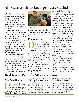# **All Stars work to keep projects staffed**

### **From previous page**

members on the Nampa team, dispatch is one of the project's strong areas that helps retain drivers all season long.

 "Her excellent efforts help keep us staffed so we can take care of our customer's needs," Kirk added.

 "For the past seven years, Echo has been one more part of the great team that we have been able to put together at the Nampa Project," Kirk said.

 "A great team is vital in order to meet our customer's needs, work safely and make the Nampa Project as efficient as we can. We all know we can improve every year and our team will finish safe and strong."

 In her off hours, Echo is an avid hunter, mostly going after geese. In the summer, she likes to take solo hikes, trekking farther into the woods each outing. An enthusiastic gardener, Echo has been studying up on mycology and general flora. She enjoys camping and fishing.

"My favorite thing is caught-



### **Cristhian**

that-morning trout," she said. "And you'll never know exactly where my favorite camping spot is."

### **Manufacturing**

Frawing Assistant Cris-<br>thian Gutierrez is the<br>Manufacturing Project<br>All Star for 2020. thian Gutierrez is the Manufacturing Project All Star for 2020.

 Cristhian started in June 2017 as an entry level drawing helper. He fit right in, according to Project Manager Derek Torix.

 "He helped with nest drawings and helped program the water jet files," Derek said.

 With a little experience under his belt, Cristhian blossomed, taking on responsibility for smaller drawings like king pin plates and tongues.

"This summer, Cristhian

switched his focus to trailer drawings," Derek said. "He took the initiative to jump in and help us when our previous design coordinator made a job change. He stepped in and helps anywhere and anyhow he can."

 While still learning, he keeps the drawings moving, including drawing plans for the Super Set version trailers for Wyoming, gravel trailers for an Idaho customer, and the loader step prototype. Cristhian also had a hand in creating a gooseneck flatbed trailer and bumper hitch trailers the project created for sale to the public. He did it all without missing a lick in providing the shop crew with the drawings they needed, Derek said.

 He puts his heart into every project and is willing to come in early and stay late to get the job done.

 A Twin Falls native, Cristhian has always enjoyed designing things, Derek said. "This is his first job being able to do just that."

 When he's not a work, Cristhian enjoys spending time with his parents, Cruz and Maria. He also enjoys working out at the gym.

## **Red River Valley's All Stars shine**

### **East Grand Forks**

I n East Grand Forks, there is All Star proof that Transystems Skills Development Program works well. That project's 2020 All Star is Chrissy Kowalczik, who started

with Transystems on July 27, 2017, as a skills development driver. After successfully completing the program, she earned her Commercial Drivers License and started driving for the company in August of that year.

 She advanced to become a skills mentor and is very knowledgeable with the simulator, Project Manager Rick Larson said.

 "Along with all that, she does a great job of following up with the candidates who took part in the program," Rick added. She is also part of the project's **See ALL STARS, Next page**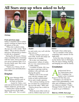# **All Stars step up when asked to help**



### **Chrissy**

#### **From previous page**

Safety Committee and is continuously working on improving in all aspects of her job.

 "When she is asked to help, she says yes with a smile," Rick added. "She is always cheerful and gives 100 percent to whatever task she is assigned."

 During the off-season, Chrissy enjoys spending time swimming with her sister, nieces and nephews out at Larimore Dam. It's a favorite family spot. She is also an avid reader.

 "Thank you, Chrissy, for all your hard work and dedication," Rick added.

### **Drayton**

Project Manager Billy<br>Holum picked a pair<br>All Stars in Drayton.<br>Austin St. Claire, a Holum picked a pair of All Stars in Drayton. Austin St. Claire, a second-year professional driver, and Dalton Anderson, got the nod.

 "Austin does a great job helping new drivers on the night shift," Billy said. "He is a men-



tor and works very well with the other drivers."

 Always willing to pick up an extra shift, Austin also helps out wherever he is needed.

 He is also very tuned into Transystems' culture of safety. He is a very conscientious driver, Billy added.

 A resident of Rolla, ND, Austin enjoys road trips with his children, Lilly and Gabe, and playing the guitar.

 Dalton is also in his second year with the company and works as both a professional driver and a loader operator.

 "He is always looking out for his coworkers by communicating over the radio," Billy said. "And he always has a smile on his face."

 While he most often works as a driver, Dalton steps up to run



### **Austin Dalton**

the loader when called upon.

 He is a member of the safety committee and a mentor for the night shift.

 In his free time, he helps out on the family farm in Michigan, ND. He enjoys fishing, hunting and hanging out with his family.

### **Crookston**

professional driver<br>
for Transystems since<br>
2012, Jonathan Car-<br>
penter is the Crookston for Transystems since 2012, Jonathan Car-Project's All Star this year.

 "Jonathan is an All Star because of his dependability, work ethic and willingness to help out wherever needed," Project Manager Robin Novak said. "He is quick to go to Hillsboro

### **See ALL STARS, Next page**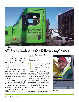

**Jonathan**

# **All Stars look out for fellow employees**

#### **From previous page**

or East Grand Forks to fill a double for them, helps in the yard when needed and has worked several summer construction projects. He often picks up an extra shift."

 Every shift, Jonathan shows up with energy and a good attitude. Rarely seen without a big smile on his face, he always looks for the best in his coworkers, Robin reported.

 Originally from Bemidji, MN, he purchased a home in Crookston to raise his young family

 When not working, Jonathan stays busy helping his wife, with their children, William, 5, and Faithful, almost 2.

 In the fall, he enjoys deer hunting.

### **Moorhead**

**The Moorhead Project All** Star for 2020 is professional driver Shawn Geist.

 Shawn followed his father's footsteps to Transystems and has been with the company since 2005. In the nearly two decades Shawn has been with the company, he has worked as a driver, sub-managed and run the excavator during deep freeze.

 "Shawn Geist is an All Star because he is willing to pick

**See ALL STARS, Next page** 



**Shawn**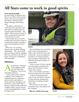# **All Stars come to work in good spirits**

### **From previous page**

up extra shifts, he mentors new drivers, he follows Transystems' safety rules and is also part of the safety committee team," Project Manager Jeff Gainey said.

 "He talks to other drivers when they have questions and puts them in a better place to succeed with knowledge," Jeff added. "Shawn always comes to work in good spirits and cheer everyone else as well."

 Shawn helps out on summer construction and always steps in to help when needed, coming in early and staying late if necessary.

 When he's not working, Shawn enjoys grilling, golfing, and fishing. "He is an overall great guy that would do anything that you need him to do. We are lucky to him here in Morhead," Jeff concluded.

### **Hillsboro**

eting Project Manager<br>
Tracy Magnus chose<br>
two All Stars from<br>
Hillsboro: Tessa Kent Tracy Magnus chose two All Stars from and Dallas Johnson.

 "In her sixth season with the company, Tessa's detail orientation keeps our employees paid correctly and makes it much easier for managers to be proactive," Tracy said. "She is always willing to help with more complex needs, such as culvert counts and independent contractor paperwork."



### **Dallas**

 She has helped a lot in training other clerks in the Red River Valley, the Central Division and in Renville. Tessa has helped in all aspects of summer projects, from assisting with hiring to all different types and locations of construction.

 Tessa is aware of what is going on at the project and questions paperwork that doesn't make sense, Tracy noted.

 She is very friendly and helpful to all employees and vendors.

 "If there are questions that come to her, she doesn't hesitate to help and keep management informed of anything needed," Tracy said.

 She has been on the safety committee since she started with the company.

**See ALL STARS, Next page** 



**Tessa**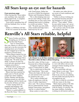# **All Stars keep an eye out for hazards**

### **From previous page**

Often staying late, Tessa makes sure anything vital, especially hiring paperwork, is complete before she goes home.

 Tessa enjoys spending time off with her husband, Eric, on their farm.

 Dallas is a Hillsboro All Star. In the two seasons he has been with Transystems, Dallas has served as a Skills Development Mentor and Orientation Mentor.

 "He is often helping train new drivers and willing to help with anything else we may need, from jumping dead trucks to helping us switch out trailers," Tracy said. "He picks up extra shifts when needed and helps lend a hand anyway he can."

 He makes sure other drivers are aware of road conditions and other hazards.

 "Dallas is always looking out for potential hazards and alerting managers as well as other drivers," Tracy added. "When he sees safety issues, he's never afraid to help fix things himself."

 He is always early for his shift and willing to stay late.

# **Renville's All Stars reliable, helpful**

hawn Fernkes and Brian Kimpling are All Stars at the Renville Project. New to Transystems this year, Shawn is a driver who steps up to run the excavator for cleaning beets out of trailers. He also stepped up to train for teardown of frozen beets.

 "When Shawn started, he was eager and willing to learn," Division and Project Manager Dave Elsing said. "He picks up extra shifts, is always on time for work and asks questions about company procedures."

 When he shows up for work, he's ready to work, willing to help and stay late if needed.

 Shawn has been married for eight years to Nicole and the couple have three children, Emilee, Bentlee and Brynlee. Zipping around on a dirt bike and camping with his family are his favorite off-duty activities.

 "I enjoy racing stock car, camping and hanging with friends and family," he said.

 "Shawn is a great addition to the Renville Team," Dave said.



**Left, Shawn is an All Star employee and an All Star family man. Renville's other All Star is Brian Kimpling.**

Renville's other All Star is professional driver Brian Kimpling.

 A longtime employee, Brian came to Transystems in 2006.

 "He is a great asset to Renville and Transystems," Dave said. "Brian also helps with the loaders and started in the excavator for teardown this year."

 "He is safety-minded and helps all employees with the whys of safety importance," Dave said. "He is always helping drivers understand the reason behind Transystems' procedures. And he is a great listener."

Brian comes to work with a

smile every day and takes time to visit with fellow drivers and managers before heading out for his job every day.

 "If you need help with anything, Brian is your man," Dave said. "He is always willing to help in any way he can, picking up extra shifts and staying late to accomplish the job."

 He likes to help his coworkers with any issues in the shop.

 Brian enjoys going to the lake and basketball. Spending time with his family is a priority. He has many hobbies, including working on old tractors and cars.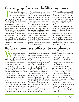# **Gearing up for a work-filled summer**

Transystems' big green trucks will be spotted far and wide this summer. "We have work already lined up for Western North Dakota, South Dakota, Billings, Utah and both east and west sides of Idaho," Errol Rice, Executive Vice President Strategic Development, said. "The South Dakota project is an extension of the Rapid City project we worked on last year and was a successful job for us. We won't be heading back to the Winner end of South Dakota, just Rapid City."

 And early starts are on the agenda.

 "We are hoping for early starts in April or May, especially in South Dakota," Errol said. "But that is dependent on the weather. We want our drivers and techs to get in as many workdays as possible."

 Transystems will be hauling for repeat customers, former customers and new ones. The list includes longtime partners Knife River in Utah and Idaho and Border States in South Dakota. Central Specialties is a new customer that we will work with in North Dakota. We also have a job with Century Companies, a customer Transystems worked for in the past.

 "We are still working on adding new projects, especially on the east side of North Dakota," Errol said. "We would also like to add a few more Idaho projects and we are waiting to hear back on a project in Western Montana."

With bidding season ongoing, the company already is planning on about 140 driver slots available for summer construction. The majority of those jobs will last June through July before tapering off in August, just in time for the beet campaigns to start up. The Sidney man camps will be available for the Western North Dakota project.

# **Referral bonuses offered to employees**

Mat do you call a<br>program that puts<br>bonus cash in an<br>employee's pocke program that puts bonus cash in an employee's pocket while supplying a new hire to an employer? At Transystems, we call that win-win deal the employee referral program.

 How does it work? Current employees who refer a successful job candidate to the company earn either a \$500 or \$300 bonus for each successful hire.

 Any Transystems line or administrative employee is eligible to earn a referral bonus. It's simple.

 An employee refers a job candidate. After the referred person has worked for the company for 30 consecutive days, the referring employee gets a check.

The bonus for referring the po-

sitions of equipment technician, linehaul driver or loader operator is \$500. The referral bonus for a skills development driver is \$300.

 The program is tried and true, having been used by the company for more than 15 years.

 "We like to reward our employees for helping with staffing," Kari Franks, Senior Administration Manager, said. "Employees generally refer others who are a good fit for the project. We do not bring in the most new hires through this program, but they are the best leads. The referral bonus program is our best means of gaining new employees."

 While the referral program has been around for years, it was significantly altered in 2012,

changing the length of time a

referred employee must work to trigger the bonus.

 The length of time employed dropped from 90 to only 30 days.

 The program is successful for several reasons.

 Drivers refer people they want to share the road with. Transystems has the best driver pool in the industry. Our drivers refer others who are similar to themselves in safety and work culture. People are more likely to stay at a company where their friends work.

 Since Oct. 1, 2019, lots of employees have taken advantage of the company's offer.

 So far this campaign, Transystems has paid almost \$35,000 in referral bonuses.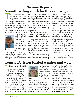## **Division Reports Smooth sailing in Idaho this campaign**

he Idaho Division hit the ground running and never stopped this sugar beet campaign. In all the years I've hauled beets, this season has been the easiest. We worried early on that we wouldn't be able to keep up with our customer. But we sure did. It helped that we were well staffed. That's in large partly due



to the administrative staff lead by Jodie Hunt. Her team was fully involved, making all the calls and getting interviews set up. It really paid off.

**Kevin**

 The campaign kicked off early in September and we were off to a great start. Ninety percent of the crop was harvested before a

big frost hit us. The growers got all the beets in. We have had no problems with storage and were able to haul more beets out of the Upper Snake area and into Paul early in the campaign. That really helped keep us on top of things before the roads got bad. We got ahead of the game and stayed there.

 Our new Freightliners performed well, and we also had a few new trailers to make the job easier.

 Spring came early with its moisture and the frost coming out of the ground, so we are dealing with some muddy conditions right now and have been pulling some trucks out of the muck. That's business as usual in Idaho.

 With the sugar beet campaign scheduled to wrap up the third week of March, we are already

looking forward to summer work. So far, we have a project set in Strawberry, UT, and one near Idaho Falls. We always seem to get some local jobs with Kloepfer Construction. We are looking forward to a busy summer.

 Our new Division Maintenance Manager Chris Jensen is a real team player and has fit into the division very well. We have a good safety record because Ryan Fiala stays on top of all the safety programs, giving us a real boost in that department.

 All of the Idaho Division employees deserve a hats off. They worked hard and they worked well together. I'm proud of our management team and our crew. Thank you.

*Kevin Iversen, Vice President and Manager, Idaho Division*

## **Central Division battled weather and won**

I n the Central Division, Billings and Worland wrapped up successful sugar beet campaigns in January. Sidney has a bit longer to go.

 Early storms with lots of snow challenged the crew in Worland as the campaign got started. They had to fight some weather but pulled through it all well.

 Billings, also faced weather issues. Th biggest hurdle there was lots of heavy snow early on. Some beets were hammered by hail in the fall, which had us



juggling some short beet piles near the factory. Project Manager Chris Kelly did a great job of staffing, which always makes

**Tracy** 

things run better.

 Sidney grappled with heavy rains in the fall. The farmers really had to work to get the beets out of the fields, but they got it done. Staffing presented challenges because of competition for employees from the oil fields. We had to do some rerouting because of road construction near the factory. And Sidney also had some mechanical issues to deal with.

 Fortunately, Worland, Billings and the Idaho Division were able to lend Sidney some drivers and trucks until the long hauls were wrapped up. We only have short hauls remaining, so things are running smoothly in Sidney now that the battle part of the **See CENTRAL Next page**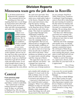## **Division Reports Minnesota team gets the job done in Renville**

I t's all about teamwork in Minnesota this campaign. Our seasoned drivers are coaching new hires and teaching them how we do things at Transystems and in Renville. The drivers look out for each other and offer encouragement and safety tips when the weather



turns bad.

 There is excellent communication among drivers. We've had normal winter conditions, which is enough to make some drivers worry.

 A mid-January weather event showed just how well our team works together. Drivers out on the road were able to provide an early alert when the big storm moved in. It gave us a half hour lead time to get drivers off the roads and safely home. It was a bad enough storm to shut us down for a couple of days. We really appreciate the extra efforts the yard crews put forth. They stayed on the job until replacement crews could safely make it to the factory. Despite the shut down and road closures, they kept the factory running.

 Randy Wareberg and his team in the shop have given 100 percent from the start of the campaign. They kept our equipment in great shape through some challenging conditions.

 I like the way the Renville team has worked together since the campaign started in mid-September. Harvest was delayed and we struggled with rain and muddy conditions at some pile sites. It was cold and wet, and we did a lot of moving from one pile site to another to deal with at-risk beets. Those problems are behind us now and we expect pretty smooth sailing until the wrap up in March.

 The sugar beet crop was a lot better than the year before – not a bumper but a good one.

 We faced a learning curve in our first year of doing teardown for our customer. Red River Valley Deep Freeze Teardown Coordinator Virgil Purrington came to Renville to help during the start meeting for teardown. He fine-tuned our training and is likely to return to help us out. Our goal is to minimize pipe damage. We are doing okay at it, going in the right direction.

 Our three new 490 Komatsu excavators are working well. They are big machines loaded with power, just what we need for teardown work.

 With the end of the campaign still months away, we already have drivers stepping up for the summer construction season. We will head to White River, SD, to lend a hand to the RRV team running that project, which starts in mid-April and will run through most of the summer.

 Thanks to each of the managers, supervisors, drivers, techs and clerks for your hard work. It is appreciated.

*Dave Elsing*, *Minnesota Division Manager*

## **Central**

### **From previous page**

campaign is over.

 New trailers in both Billings and Sidney worked wonderfully.

 The Central team is already looking forward to summer work. In May, we will head to Watford City, ND, for a big stockpiling job. About 40 drivers and a double shift schedule are planned. It's local work for the folks in Sidney since it's only about 20 miles away. Everyone is excited to get started on it.

 I must give a big thank you to the Central Division's project managers. When I was called to Hillsboro to help out with staffing, Chris, Joe Kunz and John Hoadley really stepped up to ensure that things ran well, picking up much of the slack when

I was away for several months as the acting Hillsboro Project Manager.

 I'd also like to thank Billings driver Matt Crocker for lending a hand in East Grand Forks when that project needed extra drivers.Thanks to all the hard workers in the Central Division. I look forward to a long, busy summer.

> *Tracy Magnus, Central Division Manager*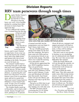## **Division Reports RRV team perseveres through tough times**

espite Mother Nature's cruelest behavior, the Red River Valley Division is moving beets very well. A lot of people pitched in, coming from other divisions to lend a hand. We appreciate that.

 It was a difficult fall weather wise. It rained from the first day



of harvest until the first winter blizzard hit, dumping more than a foot of snow in early October. The Red River

Valley had the

**Troy**

worst harvest in history, and it wasn't limited to sugar beets. Every crop was hit and hit hard by the weather. Snow did in the edible beans, and farmers left a lot of corn standing in the fields. Our growers were hit hard, too.

 The unusual weather had us bouncing from pile to pile from start-up in mid-August throughout the harvest. We had a short crop that had to be moved a long distance, so protecting the yard beets was a big focus. It was an historic year as far as crop placement, and not in a good way. There just weren't many beets in Hillsboro or East Grand Forks yards. It took a lot of coordination to get the beets moved.

 The weather finally eased up in December, and we had a mild month. January brought more snow, putting us at 15 percent



**Idaho driver Spencer Hodges went to the Valley to lend a hand when extra help was needed. Bill Schulz photo.**

of annual snowfall; but the temperatures were not frigid. It hasn't been a bad winter.

We ran 129,000-pound belly dumps from Idaho for the first time this campaign. We had to hone some new skills and use the construction Grizzly to unload the belly dumps. The Hillsboro crew scaled the learning curve and made it work.

 All the drivers appreciated the new 2020 Freightliner tractors. They are good trucks

 The campaigns will wrap up early this year. Hillsboro will be done in early February. Crookston and Moorhead will follow later that month. East Grand Forks will run into March, and Drayton will wrap it up the first part of April.

 That gives us little time to get ready for summer work that is also starting very early this year.

 The RRV Division will be overseeing the US 183 White River job near Vivian, SD.

About 40 drivers, managers and support personnel will head on in mid-April. It's too far to commute, so they will be making their summer homes there.

 This job is sure to run smoothly because we are stockpiling out of a dedicated pit near Rapid City. We won't face access road difficulties this summer.

 While the South Dakota job will run through the summer, we are still busy looking for more construction work to keep our crews on the payroll.

 I'd like to thank the entire RRV team. They did a great job under some often trying circumstances. A special thanks to all the people that came from other divisions across the country to drive here. We could not have done it without you. The help is and will always be appreciated by all of us in the RRV.

> *Troy Carl, Vice President and Manager, Red River Valley Division*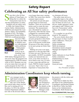## **Safety Report Celebrating an All Star safety performance**

Since this is the All Star<br>
edition of TransTopix, if<br>
fitting that we salute the<br>
Transystems team for it edition of TransTopix, it's fitting that we salute the Transystems team for its All Star performance in safety.

 Numbers tell our safety story. In 2006, the Federal Motor Carrier Safety Administration (FMCSA) developed the Compliance, Safety, Accountability program (CSA). The Safety Measurement System (SMS) is FMCSA's workload prioritiza-



**Rich**

tion tool. FMC-SA uses the SMS to identify carriers with potential safety problems.

 Transystems' current SMS score is an astounding 9 percent, our lowest

SMS Safety Management System score since the program was implemented by FMCSA nationwide in 2010. Montana was one of seven states that were part of a pilot program for the CSA, so Transystems has been evaluated

even longer than most, starting in 2006. Our scores have shown constant improvement.

 All carriers are put into peer groups based on total truck numbers. There are several data points used to create the measurement. The measurement sets a threshold for crashes at 65 percent. After that the carrier is flagged for a potential audit. Our 9 percent score means only 9 percent of all companies in our peer group have done better than we have. For example, a score of 60 percent would mean 60 percent of the other carriers in our peer group are better than we are.

 Making our score even more impressive is the fact that FMC-SA does not care if the loss was preventable. All DOT recordable crashes are factored into our score, even when our driver is not at fault in any way. If a driver runs a stop sign and hits our truck, FMCSA counts it against our score. That's why it is so important to Transystems that

we eliminate all losses.

 The safety team strives to continually improve the safety culture at Transystems. But the true All Stars are all of you – the drivers, loader operators, techs and support staff. Without your buy-in to Transystems' safety culture, this wouldn't be possible.

 It's a number we can all be proud of. We earned it.

 The score clearly shows that the processes we have in place make a difference. Those processes include: Safety orientations Skills development Orientation mentor program Manager development with safety Audits Safety indicators in Asset Works Safety committees Implementing ice cleats In-cab training Simulators. Great job team.

*Rich Carl, Vice President of Safety*

## **Administration Coordinators keep wheels turning**

Administration Coordinator. This position was designed to take care of office details so the

Very manager needs a<br>right-hand woman/man<br>someone you trust to<br>take care of the details right-hand woman/man, someone you trust to take care of the details and critical tasks when you feel like you're running all over the place. In 2016, the Administration Department added a new title to the division offices:



Administration Manager could spend more time working at **Kari**

the projects with the clerks and management.

 Jodie Hunt in Idaho has Destani Hunt as her Administration Coordinator and Rachael Hunter in Red River Valley has Beth Juarez as her Administration Coordinator. Both Destani and

### **See COORDINATORS, Next page**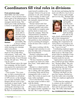# **Coordinators fill vital roles in divisions**

#### **From previous page**

Beth fulfill vital roles in their divisions. I am so proud to have both as part of the administrative team. They do so much for their managers and divisions. This article gives Jodie and Rachael a chance to spotlight their right-



hand women. Destani is extremely organized, able to prioritize projects and a quick learner as well as being very personable. She is always willing

**Destani**

to take on additional projects while learning new concepts and/or procedures.

 "Destani raises her hand as much as I do to help others with projects," Jodie said." She comes in early and stays late to get the job done. Even if Destani is busy, she still says, 'What can I do for you?"

 While Destani enjoys the sugar beet campaign, she has found a true passion for construction and looks forward for the season to begin.

 Case in point. "Two years ago, we had a construction job with absolutely no cell phone or GPS service, so the manager was scarcely reachable, and the Rangers did not work to start timecards or report loads," Jodie recalled. "Destani took on the clerking job, knowing it was going to be complicated with the lack of communication. She

made herself available to the manager whenever he got an opportunity to call, early mornings or late evenings, in order to get the timecard information. Then she manually entered all timecards and loads."

 Destani started with Transystems as a receptionist, and managers quickly took notice of her ability to complete tasks and her desire to learn more about the company. When the Administration Coordinator position opened, there was no doubt Destani would be great in that position as she continued to excel in assisting all managers in the division with a variety of tasks.

 She enjoys working with the managers and customers to complete the daily tasks of timecards and reconciliations.

 Destani's enthusiasm really shows when birthdays take place in the office.

 "We have learned to carefully inspect our chairs for a little blow horn," Jodie added with a laugh.

 Destani is a valued member of the administrative team as she is willing, able and capable of assisting clerks and division management with a variety of tasks. She is truly an asset to our team, Jodie concluded.

 Over in the Red River Valley, the team counts on Beth to deal with the details.

 Everyone at the RRV Division office relies on Beth to provide the support needed, regardless of the task. She is super at getting

the job done and helping find the most cost-effective way to do so.

 "Beth is always such a bright spot in every day," Rachael said.



"She is friendly and easy going and handles even the most hectic days with ease – at least outwardly! Her ability to juggle both incoming calls and on-site

**Beth**

tasks clearly demonstrates her gift of time management."

 Beth does not shy away from anything she's requested to do. And if there is an errand to run or call to make, she is the first to say, "Leave it to me!"

 Coordinating employee appreciation events is something that Beth excels at. She helps each project plan in-campaign events and coordinates the things each location needs for success.

 "Appreciation events and picnics would not get done without her," Rachael added. "She also took on the lion's share of banquet planning last year. Without batting an eye, she had everything planned and organized."

 Working with Beth over the past four seasons, Rachael noticed she really took ownership of the new employee application process.

 "I often hear her making calls to contacts on the worklist or helping a call-in applicant get their activity process to the next stage. She really understands

#### **See COORDINATORS, Next page**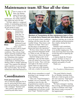## **Maintenance team All Star all the time**

Notaries to All<br>Stars, the Mainte-<br>nance Division has<br>58. That's 58 stellar<br>technicians. Not unlike Webster Stars, the Maintenance Division has 58. That's 58 stellar technicians. Not unlike Webster, they define the term All Star.

 "All Star: adjective: composed wholly of outstanding performers or players; noun: A member of an all-star group or team."

When we started this new



maintenance journey four years ago, we faced a steep learning curve. Transystems' All Star techs embraced it and have excelled in

**Brian**

many areas.

 These All Stars work in frigid climates with muddy and icy conditions. They always forge ahead, repairing equipment and solving issues in a timely manner. Sometimes this requires chipping ice and mud from components to checking them during a PMI or simply replacing a part. This requires the determination and drive to excel at what they each do daily. The All Star technicians often find themselves

## **Coordinators**

#### **From previous page**

how to help the applicant feel at ease by answering all their questions and getting them connected with a manager," Rachael said.

 Her courtesy and concern extend beyond office hours.



**Members of Transystems All Star maintenance team in Paul, ID, include Kerry Howard and John Welker. Bill Schulz photo**

out in the harsh winter conditions dealing with the issues the cold weather brings. They keep a sole objective in mind: "How can I get this piece of equipment repaired and back into operation?"

 We have times where one shop may need more help than another. When we ask, All Stars say, "Let me know when to be there."

 Summer brings a new set of challenges. The All Star technicians are asked to be away from home for weeks. They work day and night in the dusty environments where we stage trucks. They work out in the elements with only a trailer for parts and

supplies. And they do it with the same attitude and determination they employ during the beet campaign.

 Summer work sometimes means long drives to a truck or to another staging area. The techs must keep their focus both on driving and on repairing the equipment.

 I want to thank the 58 maintenance All Stars we have at Transystems. Keep up the great attitude and quality of work. Thank you.

*Brian Gresens, Vice President of Maintenance*

Beth always remembers to email greetings to any manager on his or her birthday.

 "This year, Virgil Purrington's birthday was on a Saturday. Not wanting to miss his day, she programmed an email to send on Saturday wishing Virgil a happy birthday and copying the rest of management so everyone would greet Virgil," Rachael recalled.

 "The email failed to launch. So, on Monday morning when Beth saw it had not gone on time, she sent it anyway. Virgil spent the rest of the day saying, 'It was Saturday!'

 "We had a managers' meeting that evening, and Beth picked up a cake to celebrate with Virgil. She always wants everyone to feel appreciated."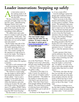# **Loader innovation: Stepping up safely**

n innovation years in the making made it off the drawing boards and into the field. "We have built three different concepts of loader steps over the last few years," Manufacturing Manager Derek Torix said.

 Early versions had the stairs as part of the loader, but this time the innovators in Rupert tried something a little different.

 "We added stairs and a platform to a trailer to pull out to the pile grounds," Derek said. "The trailer also has a porta potty and fuel tanks on it as well as lights and solar panels."

 On the loader step side of the trailer, a platform slides out to the loader spanning about 3½ feet, once the loader is in position. This creates a bridge for the operators to walk across to access the loader. The bridge is controlled with a wireless remote.

 The trailer has multiple fuel tanks, which reduce the regulatory burden.

 The tank is self-contained with everything running on either 12 or 24 VDC. The 200 watt solar panel keeps the batteries charged.

 "We wired in a cord to plug into the loader to still be able to fuel should the batteries fail," Derek added. "And we put a toolbox on the trailer to store supplies. A second toolbox is where the batteries and solar wiring are located. We also added a small cooler big enough to store a 2½ gallon of DEF with a heated blanket and thermostat to keep the DEF from freezing."

The first trailer is out for a test



**The new loader steps make the job safer for operators. To view a video of the steps in action go to [www.transystemsllc. com](https://www.transystemsllc.com/ords/f?p=26000:ARTICLE:::NO::P5_PAGE_CONTENT_ID:51) or scan this code**



run at the Paul Project. "We are hoping to test it for a short time and get some feedback and build a version 2.0 soon," Derek said.

 This innovation was spawned for safety's sake.

 "The point of the steps is to make it easier for operators to get in and out of loaders safely," Derek explained. "The ladder on the loaders is steep and somewhat hard to get up and down safely. There have been losses from people falling off and being injured. This innovation is aimed at reducing losses and helping operators safely get in and out of the machine."

As always in the Rupert facili-

ty, it was a team effort.

 Lincoln Zollinger started the design and Cristhian Gutierrez finished the initial drawings.

 "Most everyone in the shop helped with building the trailer at some point or another," Derek noted. "We definitely had some obstacles here and there that we had to improvise on, but all in all this one turned out pretty good."

 The innovation has drawn rave reviews from the Paul loader operators who are taking it for a test run, Paul Project Manager Coral Torix reported.

 "We have been using it out at the piling grounds at the Paul Project for a few weeks now and it has been awesome the loader operators love it," Coral said. Here's what the operators had to say.

 Loader operator John Jones said he definitely likes the fact that it is so much safer using this trailer when switching out with other operators.

 "It eliminates the risk of falling from the loader's vertical ladder," he added. "It's nice to be able to just walk straight into the loader rather than have to climb into it."

 "Pat Pasley also likes the fact that you can take all your stuff (cooler and such) up to the platform and place directly into the loader without having to reach from the ground to put your supplies on top of the steps," Coral said.

 "And Shawn Zollinger loves the fact that it makes cleaning the windows a whole lot easier and ten times safer," Coral concluded.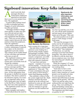# **Signboard innovation: Keep folks informed**

need to provide short<br>
messages directly to<br>
Transystems employe<br>
spawned an innovatio messages directly to Transystems employees spawned an innovation that is now in every project location: The signboard.

 A typical office bulletin board is often overloaded and busy. Nuggets of useful information too often get buried.

 "Messages needed to change more quickly to make sure they were relevant and not stale," Vice President of IT and Revenue Equipment Dan Brennan said. "There are several subject matter experts that provide information to front-line employees. Enter the signboard."

 Each subject matter group, be it safety, maintenance or payroll, has a space on the electronic signboard to provide content. This content can be loaded ahead of time with dates and automatically turn on and off.

 The signboard content is managed in the company's TIPS system and is accessible from all around the company.

 "If you have access, you can put up a message quickly," Dan noted. "This is very valuable with time-sensitive communications. All the information from the groups is shuffled into project locations. This allows content to be tailored to regions. For example, an important safety tip on belly dump gates may not apply to the Red River Valley because they don't have that equipment."

 The signboard system was not created overnight.

 Many managers and employees had talked about the need for





**Mark Manners, Dan Brennan**

such a system for a long time.

 Dan and others on the IT team spent two years looking for a good fit using outside vendors and packages available. While they found several options, most missed a component, were difficult to use and were often coupled with expensive hardware.

 "As I got more and more requests – examples of use case and the benefits – it became clear we needed to find a solution and implement it," Dan said. "The IT team committed to this goal in the spring of 2019 during a senior team planning meeting."

 Dan outlined a vision of what the system might look like. Mark Manners and Rich Rowland teamed up on the software and hardware to come up with a great solution. JJ Howarth worked with site managers to get the hardware out and installed last fall.

"The team put together a solu-

**Signboards display important information and updates, like upcoming project opportunities. Audra Labert illustration.**

tion that was half the cost of others, uses off-the-shelf equipment and met nearly all our requirements out of the gate," Dan said.

 The sleek monitors are in each project's shift change or break room areas.

 "We want the messages to be easily seen by all employees as they have a few minutes waiting for a truck or, perhaps, finishing up their shift," Dan explained. "Furthermore, we want the messages to be brief and change frequently. This allows them to be effective with the short duration an employee may view them but interesting and valuable each time they look."

 While the company's IT team created the signboards, they were not working alone.

 "Each time we have a new project, device, or system proposal, it takes someone or a small group to see the path and value. It is not uncommon for their interest and enthusiasm to get the project off the ground," Dan said. "Rich Carl and the safety team embraced this tool right from the get-go. They were pushing forward and building content that is professional and easy to follow. The experience provided caught on quickly for all."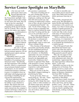## **Service Center Spotlight on MaryBelle**

s her one-year work<br>anniversary draws ne<br>Payroll Specialist Mi<br>ryBelle Kinkaid is in anniversary draws near, Payroll Specialist MaryBelle Kinkaid is in the Transystems spotlight. And, although not many in the company may know her name, they all count on her for a paycheck.

 MaryBelle is responsible for preparing all the payroll checks and XLA checks. She is also the person who makes sure employ-



ee information is updated.

 "Anytime an employee updates his or her address, tax info or direct deposit information, it comes to me," she said. "I do em-

**MaryBelle**

ployment verifications for banks and government agencies, fill out unemployment reports and pay all payroll taxes."

 "MaryBelle came to us with a background in payroll," Vice President of Accounting Leslie Simonson noted. "Specifically, she had experience with certified payrolls, which is a requirement on government-funded construction projects. As our summer construction business continues to grow, it is helpful to have an individual with background and knowledge in handling the special payroll requirements."

 The most important skill that MaryBelle brings to her job is her ability to pay attention to details. She ensures that each employee's information is accurately entered into the company's systems and keeps a sharp eye on employment verifications. In her

job, accuracy is paramount.

 "The most rewarding part of my job is feeling that I do my part to take care of Transystems employees, making sure they get their full and accurate pay and working on employment verifications so they can get a home loan or unemployment benefit," she said. "In all of those things, I'm always trying to remember that there is a person behind the name and what I'm doing and they deserve to be well taken care of."

 "One of the most appreciated things that MaryBelle brings to the position is a pleasant personality," Leslie said. "She is approachable, eager to learn and always willing to help.

 "Also, because of her pleasant personality and friendly attitude, she has established and developed good relationships with her coworkers. As MaryBelle approaches one year of employment with us, she has proven herself to be dependable and trustworthy. Employees don't hesitate to approach Mary Belle with questions or issues, and they have confidence that she will respond in a calm and pleasant manner," Leslie added.

 With a lot of irons in the fire, MaryBelle's biggest challenge is prioritizing her tasks.

 "In any given day, there's so much going on," she said. "There are things I'd like to get done during my shift, things that managers, clerks or other members of the finance team need, and deadlines required by the bank or by law. It can be a struggle to balance all of those, and it changes every day."

 In order to smoothly and successfully process payroll each week, Mary Belle must closely follow processes from day to day.

 "Inevitably, unexpected situations occur. But MaryBelle remains flexible and handles each circumstance with a positive attitude, even when it means going outside of regular processes or creating extra work for herself," Leslie said. She works closely with many of Transystems administrative team members.

 With a workforce the size of Transystems, it is important to have specific processes in place to accomplish the distribution of a weekly payroll.

 One of the payroll tasks that MaryBelle had limited experience with when she came to Transystems was preparing and filing quarterly payroll reports.

 "But, she was eager to learn about it. She tackled the task with enthusiasm and, when she needed help, I appreciated that she asked questions without hesitation," Leslie said.

 MaryBelle was born in the tiny mining town of Zortman. Her family moved to a ranch in Fort Shaw. She earned her bachelor's degree in Business Administration from MSU Northern.

 Family, friends and faith are important to MaryBelle.

 "I come from a small, close-knit family that includes my parents, Chico and Trena, and my little brother, Lucas,." she said. "When I'm not at work, I enjoy serving with my church, spending time with friends, cooking or playing Pub Trivia."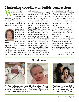## **Marketing coordinator builds connections**

Experience of the Marketing<br>
As the Marketing<br>
Coordinator, those and equipment. As the Marketing Coordinator, those words from Transystems President Scott Lind often ring in my ears when I'm digging up photos, creating ads or sharing stories told by employees.



 At its core, marketing is building connections, and it's my job to connect with all sorts of people, from the project areas and divisions to people

**Audra**

who haven't found their way yet to Transystems.

 Maybe you follow our Facebook pages (And if not, please do!), scan the signboards or get your information from right here in TransTopix.

 Each outlet is designed to help members of the Transystems team to not only stay connected and find information but also to share. Employees have been sharing their ideas and successes, opportunistic photos from the job and even their families through our annual picnics and banquets. It's those connections that help build a better Transystems community and team, making it a place to find both a professional niche and to build potentially lifelong relationships.

 Each person's story and road to working at Transystems is unique. People come here from the technology industry, fulltime parenting, military, farming, and from diverse cultural backgrounds and geography. Part of the reason I like hearing each story from Transystems'

drivers and employees: Trucking and equipment has been part of my own personal history. At one point, all four children in my family were working for the family trucking business, and three of us drove Class B water tankers alongside our dad – including me.

 Now that you know part of my story, I want to hear yours. You've found your way to Transystems, and I want to help you stay connected.

 Look for me at your next banquet or meeting, or talk with your manager about how to get more connected. Help us celebrate your accomplishments. In the meantime, start getting connected through Facebook and your fellow team members.

> *Audra Labert, Marketing Coordinator*



### **Good news**



**The Renville Project family grew this winter. Ahmed Ahmed and his wife, Waris, had a daughter, Sabrin, left, on Nov. 20. Hared Mohamed and his wife, Fowsia, had a daughter, Safa, on Dec. 23. She is pictured at right.**



**Moorhead Supervisor Jeff Gainey and his fiancée Krysti Bench had a baby boy, Mason Devon Gainey on Dec. 3.**